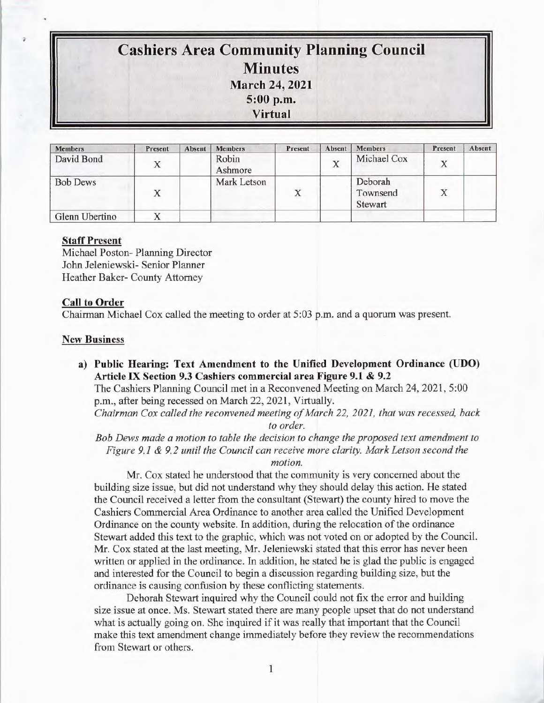# **Cashiers Area Community Planning Council Minutes March 24, 2021 5:00 p.m. Virtual**

| <b>Members</b>  | Present | Absent | <b>Members</b>   | Present | Absent | <b>Members</b>                 | Present | Absent |
|-----------------|---------|--------|------------------|---------|--------|--------------------------------|---------|--------|
| David Bond      |         |        | Robin<br>Ashmore |         | X      | Michael Cox                    | Х       |        |
| <b>Bob Dews</b> | Х       |        | Mark Letson      | X       |        | Deborah<br>Townsend<br>Stewart | X       |        |
| Glenn Ubertino  |         |        |                  |         |        |                                |         |        |

## **Staff Present**

Michael Poston- Planning Director John Jeleniewski- Senior Planner Heather Baker- County Attorney

### **Call to Order**

Chairman Michael Cox called the meeting to order at 5:03 p.m. and a quorum was present.

### **New Business**

**a) Public Hearing: Text Amendment to the Unified Development Ordinance (UDO) Article IX Section 9.3 Cashiers commercial area Figure 9.1 & 9.2** 

The Cashiers Planning Council met in a Reconvened Meeting on March 24, 2021 , 5:00 p.m., after being recessed on March 22, 2021, Virtually.

*Chairman Cox called the reconvened meeting of March 22, 2021, that was recessed, back to order.* 

*Bob Dews made a motion to table the decision to change the proposed text amendment to Figure 9.1 & 9. 2 until the Council can receive more clarity. Mark Letson second the motion.* 

Mr. Cox stated he understood that the community is very concerned about the building size issue, but did not understand why they should delay this action. He stated the Council received a letter from the consultant (Stewart) the county hired to move the Cashiers Commercial Area Ordinance to another area called the Unified Development Ordinance on the county website. In addition, during the relocation of the ordinance Stewart added this text to the graphic, which was not voted on or adopted by the Council. Mr. Cox stated at the last meeting, Mr. Jeleniewski stated that this error has never been written or applied in the ordinance. In addition, he stated he is glad the public is engaged and interested for the Council to begin a discussion regarding building size, but the ordinance is causing confusion by these conflicting statements.

Deborah Stewart inquired why the Council could not fix the error and building size issue at once. Ms. Stewart stated there are many people upset that do not understand what is actually going on. She inquired if it was really that important that the Council make this text amendment change immediately before they review the recommendations from Stewart or others.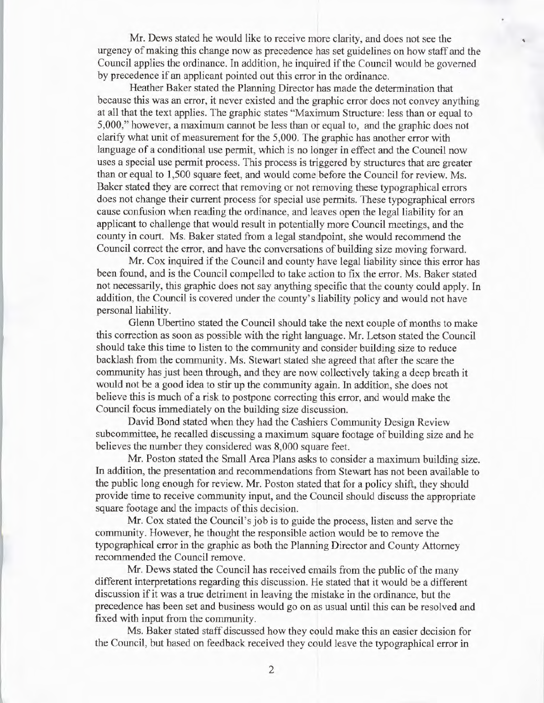Mr. Dews stated he would like to receive more clarity, and does not see the urgency of making this change now as precedence has set guidelines on how staff and the Council applies the ordinance. In addition, he inquired if the Council would be governed by precedence if an applicant pointed out this error in the ordinance.

Heather Baker stated the Planning Director has made the determination that because this was an error, it never existed and the graphic error does not convey anything at all that the text applies. The graphic states "Maximum Structure: less than or equal to 5,000," however, a maximum cannot be less than or equal to, and the graphic does not clarify what unit of measurement for the 5,000. The graphic has another error with language of a conditional use permit, which is no longer in effect and the Council now uses a special use permit process. This process is triggered by structures that are greater than or equal to 1,500 square feet, and would come before the *Council* for review. Ms. Baker stated they are correct that removing or not removing these typographical errors does not change their current process for special use permits. These typographical errors cause confusion when reading the ordinance, and leaves open the legal liability for an applicant to challenge that would result in potentially more Council meetings, and the county in court. Ms. Baker stated from a legal standpoint, she would recommend the Council correct the error, and have the conversations of building size moving forward.

Mr. Cox inquired if the Council and county have legal liability since this error has been found, and is the Council compelled to take action to fix the error. Ms. Baker stated not necessarily, this graphic does not say anything specific that the county could apply. In addition, the Council is covered under the county's liability policy and would not have personal liability.

Glenn Ubertino stated the Council should take the next couple of months to make this correction as soon as possible with the right language. Mr. Letson stated the Council should take this time to listen to the community and consider building size to reduce backlash from the community. Ms. Stewart stated she agreed that after the scare the community has just been through, and they are now collectively taking a deep breath it would not be a good idea to stir up the community again. In addition, she does not believe this is much of a risk to postpone correcting this error, and would make the Council focus immediately on the building size discussion.

David Bond stated when they had the Cashiers Community Design Review subcommittee, he recalled discussing a maximum square footage of building size and he believes the number they considered was 8,000 square feet.

Mr. Poston stated the Small Area Plans asks to consider a maximum building size. In addition, the presentation and recommendations from Stewart has not been available to the public long enough for review. Mr. Poston stated that for a policy shift, they should provide time to receive community input, and the Council should discuss the appropriate square footage and the impacts of this decision.

Mr. Cox stated the Council's job is to guide the process, listen and serve the community. However, he thought the responsible action would be to remove the typographical error in the graphic as both the Planning Director and County Attorney recommended the Council remove.

Mr. Dews stated the Council has received emails from the public of the many different interpretations regarding this discussion. He stated that it would be a different discussion if it was a true detriment in leaving the mistake in the ordinance, but the precedence has been set and business would go on as usual until this can be resolved and fixed with input from the community.

Ms. Baker stated staff discussed how they could make this an easier decision for the Council, but based on feedback received they could leave the typographical error in